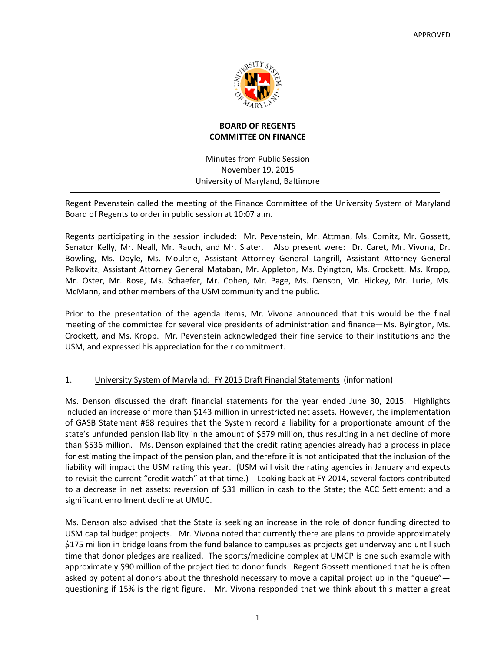

#### **BOARD OF REGENTS COMMITTEE ON FINANCE**

Minutes from Public Session November 19, 2015 University of Maryland, Baltimore

Regent Pevenstein called the meeting of the Finance Committee of the University System of Maryland Board of Regents to order in public session at 10:07 a.m.

Regents participating in the session included: Mr. Pevenstein, Mr. Attman, Ms. Comitz, Mr. Gossett, Senator Kelly, Mr. Neall, Mr. Rauch, and Mr. Slater. Also present were: Dr. Caret, Mr. Vivona, Dr. Bowling, Ms. Doyle, Ms. Moultrie, Assistant Attorney General Langrill, Assistant Attorney General Palkovitz, Assistant Attorney General Mataban, Mr. Appleton, Ms. Byington, Ms. Crockett, Ms. Kropp, Mr. Oster, Mr. Rose, Ms. Schaefer, Mr. Cohen, Mr. Page, Ms. Denson, Mr. Hickey, Mr. Lurie, Ms. McMann, and other members of the USM community and the public.

Prior to the presentation of the agenda items, Mr. Vivona announced that this would be the final meeting of the committee for several vice presidents of administration and finance—Ms. Byington, Ms. Crockett, and Ms. Kropp. Mr. Pevenstein acknowledged their fine service to their institutions and the USM, and expressed his appreciation for their commitment.

# 1. University System of Maryland: FY 2015 Draft Financial Statements (information)

Ms. Denson discussed the draft financial statements for the year ended June 30, 2015. Highlights included an increase of more than \$143 million in unrestricted net assets. However, the implementation of GASB Statement #68 requires that the System record a liability for a proportionate amount of the state's unfunded pension liability in the amount of \$679 million, thus resulting in a net decline of more than \$536 million. Ms. Denson explained that the credit rating agencies already had a process in place for estimating the impact of the pension plan, and therefore it is not anticipated that the inclusion of the liability will impact the USM rating this year. (USM will visit the rating agencies in January and expects to revisit the current "credit watch" at that time.) Looking back at FY 2014, several factors contributed to a decrease in net assets: reversion of \$31 million in cash to the State; the ACC Settlement; and a significant enrollment decline at UMUC.

Ms. Denson also advised that the State is seeking an increase in the role of donor funding directed to USM capital budget projects. Mr. Vivona noted that currently there are plans to provide approximately \$175 million in bridge loans from the fund balance to campuses as projects get underway and until such time that donor pledges are realized. The sports/medicine complex at UMCP is one such example with approximately \$90 million of the project tied to donor funds. Regent Gossett mentioned that he is often asked by potential donors about the threshold necessary to move a capital project up in the "queue" questioning if 15% is the right figure. Mr. Vivona responded that we think about this matter a great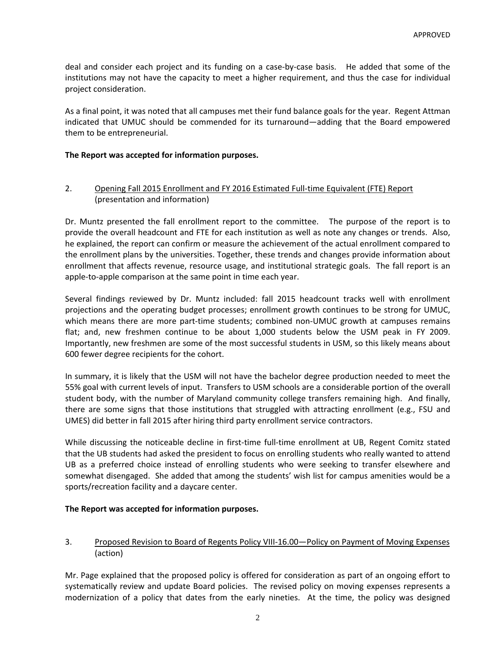deal and consider each project and its funding on a case‐by‐case basis. He added that some of the institutions may not have the capacity to meet a higher requirement, and thus the case for individual project consideration.

As a final point, it was noted that all campuses met their fund balance goals for the year. Regent Attman indicated that UMUC should be commended for its turnaround—adding that the Board empowered them to be entrepreneurial.

#### **The Report was accepted for information purposes.**

### 2. Opening Fall 2015 Enrollment and FY 2016 Estimated Full-time Equivalent (FTE) Report (presentation and information)

Dr. Muntz presented the fall enrollment report to the committee. The purpose of the report is to provide the overall headcount and FTE for each institution as well as note any changes or trends. Also, he explained, the report can confirm or measure the achievement of the actual enrollment compared to the enrollment plans by the universities. Together, these trends and changes provide information about enrollment that affects revenue, resource usage, and institutional strategic goals. The fall report is an apple‐to‐apple comparison at the same point in time each year.

Several findings reviewed by Dr. Muntz included: fall 2015 headcount tracks well with enrollment projections and the operating budget processes; enrollment growth continues to be strong for UMUC, which means there are more part-time students; combined non-UMUC growth at campuses remains flat; and, new freshmen continue to be about 1,000 students below the USM peak in FY 2009. Importantly, new freshmen are some of the most successful students in USM, so this likely means about 600 fewer degree recipients for the cohort.

In summary, it is likely that the USM will not have the bachelor degree production needed to meet the 55% goal with current levels of input. Transfers to USM schools are a considerable portion of the overall student body, with the number of Maryland community college transfers remaining high. And finally, there are some signs that those institutions that struggled with attracting enrollment (e.g., FSU and UMES) did better in fall 2015 after hiring third party enrollment service contractors.

While discussing the noticeable decline in first-time full-time enrollment at UB, Regent Comitz stated that the UB students had asked the president to focus on enrolling students who really wanted to attend UB as a preferred choice instead of enrolling students who were seeking to transfer elsewhere and somewhat disengaged. She added that among the students' wish list for campus amenities would be a sports/recreation facility and a daycare center.

#### **The Report was accepted for information purposes.**

#### 3. Proposed Revision to Board of Regents Policy VIII-16.00 – Policy on Payment of Moving Expenses (action)

Mr. Page explained that the proposed policy is offered for consideration as part of an ongoing effort to systematically review and update Board policies. The revised policy on moving expenses represents a modernization of a policy that dates from the early nineties. At the time, the policy was designed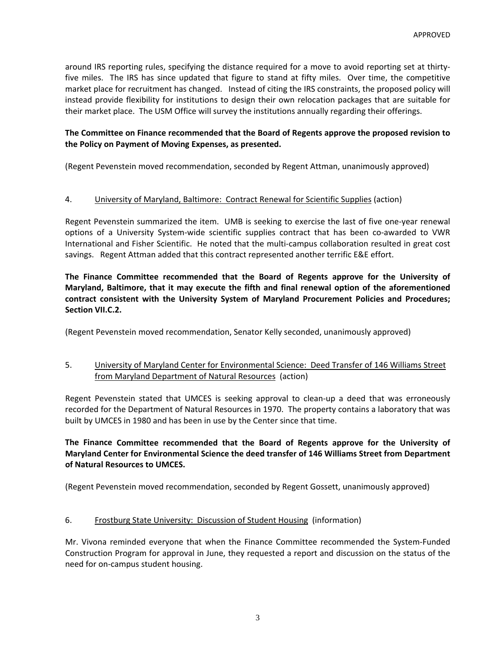around IRS reporting rules, specifying the distance required for a move to avoid reporting set at thirty‐ five miles. The IRS has since updated that figure to stand at fifty miles. Over time, the competitive market place for recruitment has changed. Instead of citing the IRS constraints, the proposed policy will instead provide flexibility for institutions to design their own relocation packages that are suitable for their market place. The USM Office will survey the institutions annually regarding their offerings.

### **The Committee on Finance recommended that the Board of Regents approve the proposed revision to the Policy on Payment of Moving Expenses, as presented.**

(Regent Pevenstein moved recommendation, seconded by Regent Attman, unanimously approved)

#### 4. University of Maryland, Baltimore: Contract Renewal for Scientific Supplies (action)

Regent Pevenstein summarized the item. UMB is seeking to exercise the last of five one‐year renewal options of a University System‐wide scientific supplies contract that has been co‐awarded to VWR International and Fisher Scientific. He noted that the multi‐campus collaboration resulted in great cost savings. Regent Attman added that this contract represented another terrific E&E effort.

**The Finance Committee recommended that the Board of Regents approve for the University of Maryland, Baltimore, that it may execute the fifth and final renewal option of the aforementioned contract consistent with the University System of Maryland Procurement Policies and Procedures; Section VII.C.2.**

(Regent Pevenstein moved recommendation, Senator Kelly seconded, unanimously approved)

# 5. University of Maryland Center for Environmental Science: Deed Transfer of 146 Williams Street from Maryland Department of Natural Resources (action)

Regent Pevenstein stated that UMCES is seeking approval to clean-up a deed that was erroneously recorded for the Department of Natural Resources in 1970. The property contains a laboratory that was built by UMCES in 1980 and has been in use by the Center since that time.

**The Finance Committee recommended that the Board of Regents approve for the University of Maryland Center for Environmental Science the deed transfer of 146 Williams Street from Department of Natural Resources to UMCES.**

(Regent Pevenstein moved recommendation, seconded by Regent Gossett, unanimously approved)

#### 6. Frostburg State University: Discussion of Student Housing (information)

Mr. Vivona reminded everyone that when the Finance Committee recommended the System‐Funded Construction Program for approval in June, they requested a report and discussion on the status of the need for on‐campus student housing.